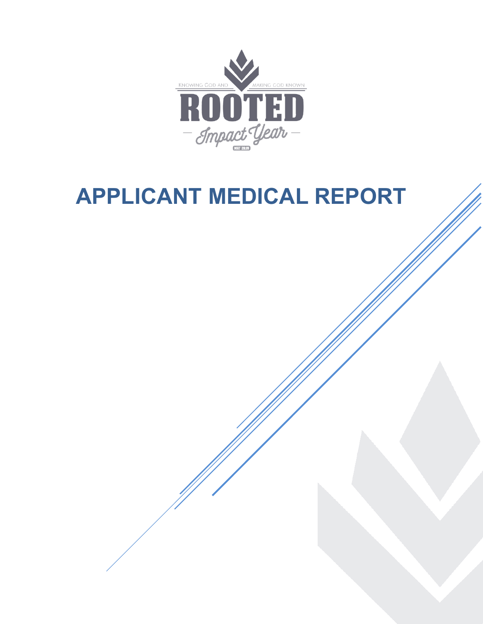

# **APPLICANT MEDICAL REPORT**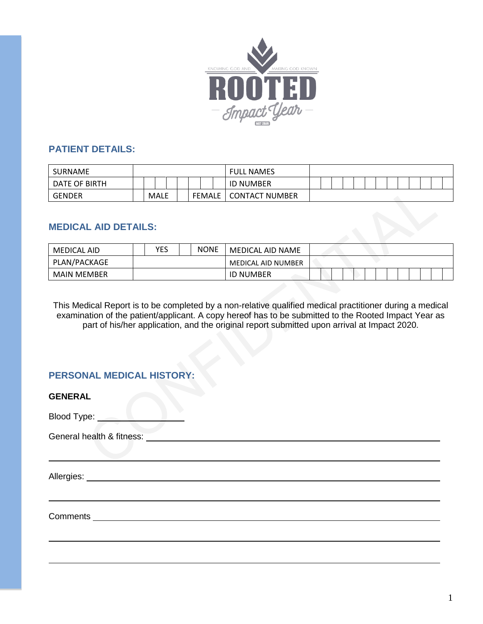

## **PATIENT DETAILS:**

| SURNAME       |  |             |  |               | <b>FULL NAMES</b>     |  |  |  |  |  |  |  |
|---------------|--|-------------|--|---------------|-----------------------|--|--|--|--|--|--|--|
| DATE OF BIRTH |  |             |  |               | <b>ID NUMBER</b>      |  |  |  |  |  |  |  |
| <b>GENDER</b> |  | <b>MALE</b> |  | <b>FEMALE</b> | <b>CONTACT NUMBER</b> |  |  |  |  |  |  |  |

## **MEDICAL AID DETAILS:**

| MEDICAL AID        | YES | <b>NONE</b> | MEDICAL AID NAME   |  |  |  |  |  |  |  |
|--------------------|-----|-------------|--------------------|--|--|--|--|--|--|--|
| PLAN/PACKAGE       |     |             | MEDICAL AID NUMBER |  |  |  |  |  |  |  |
| <b>MAIN MEMBER</b> |     |             | <b>ID NUMBER</b>   |  |  |  |  |  |  |  |

This Medical Report is to be completed by a non-relative qualified medical practitioner during a medical examination of the patient/applicant. A copy hereof has to be submitted to the Rooted Impact Year as part of his/her application, and the original report submitted upon arrival at Impact 2020.

# **PERSONAL MEDICAL HISTORY:**

| <b>GENERAL</b>                                                                                                                                                                                                                 |  |
|--------------------------------------------------------------------------------------------------------------------------------------------------------------------------------------------------------------------------------|--|
| Blood Type: <u>_________________</u>                                                                                                                                                                                           |  |
| General health & fitness: Cambridge Contract Contract Contract Contract Contract Contract Contract Contract Contract Contract Contract Contract Contract Contract Contract Contract Contract Contract Contract Contract Contra |  |
|                                                                                                                                                                                                                                |  |
|                                                                                                                                                                                                                                |  |
|                                                                                                                                                                                                                                |  |
|                                                                                                                                                                                                                                |  |
|                                                                                                                                                                                                                                |  |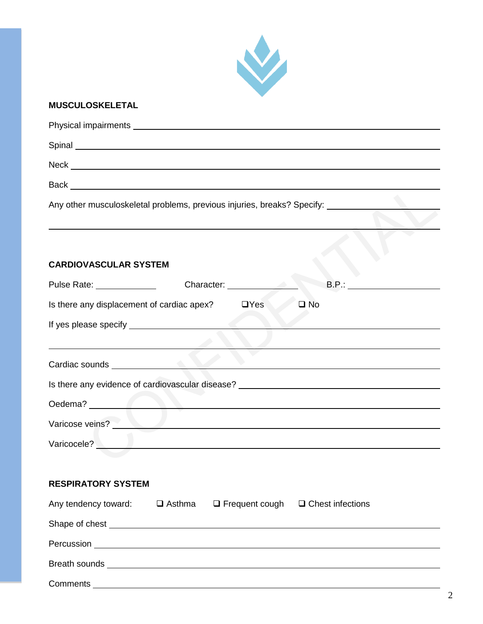

# **MUSCULOSKELETAL**

| Any other musculoskeletal problems, previous injuries, breaks? Specify: _________                                                                                                                                              |
|--------------------------------------------------------------------------------------------------------------------------------------------------------------------------------------------------------------------------------|
| <b>CARDIOVASCULAR SYSTEM</b>                                                                                                                                                                                                   |
| Pulse Rate: _____________<br>B.P.: _________________                                                                                                                                                                           |
| Is there any displacement of cardiac apex?<br>$\Box$ Yes<br>$\square$ No                                                                                                                                                       |
|                                                                                                                                                                                                                                |
| the contract of the contract of the contract of the contract of the contract of<br>Cardiac sounds <b>Executive Cardiac Sounds</b>                                                                                              |
| Is there any evidence of cardiovascular disease? _______________________________                                                                                                                                               |
|                                                                                                                                                                                                                                |
| Varicose veins?                                                                                                                                                                                                                |
| Varicocele? National Marian Communication of the Marian Communication of the Marian Communication of the Marian Communication of the Marian Communication of the Marian Communication of the Marian Communication of the Maria |
| <b>RESPIRATORY SYSTEM</b>                                                                                                                                                                                                      |
| Any tendency toward: $\Box$ Asthma $\Box$ Frequent cough $\Box$ Chest infections                                                                                                                                               |
|                                                                                                                                                                                                                                |
|                                                                                                                                                                                                                                |
|                                                                                                                                                                                                                                |
| Comments<br><u> 1989 - Johann Harry Harry Harry Harry Harry Harry Harry Harry Harry Harry Harry Harry Harry Harry Harry Harry</u>                                                                                              |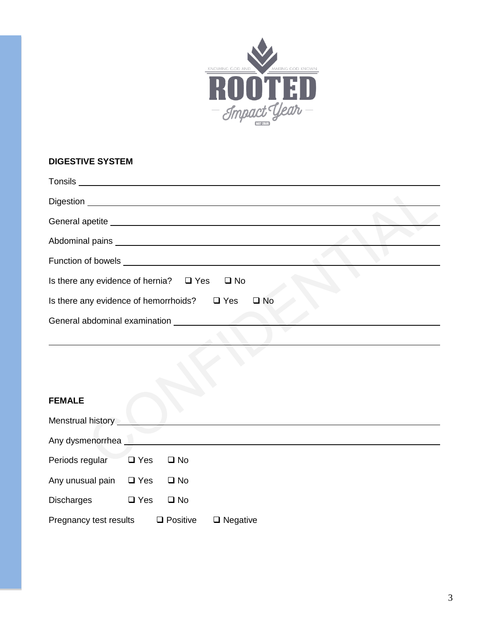

#### **DIGESTIVE SYSTEM**

| General apetite entrance and application of the state of the state of the state of the state of the state of the state of the state of the state of the state of the state of the state of the state of the state of the state |  |
|--------------------------------------------------------------------------------------------------------------------------------------------------------------------------------------------------------------------------------|--|
|                                                                                                                                                                                                                                |  |
|                                                                                                                                                                                                                                |  |
| Is there any evidence of hernia? $\Box$ Yes $\Box$ No                                                                                                                                                                          |  |
| Is there any evidence of hemorrhoids? $\square$ Yes<br>$\square$ No                                                                                                                                                            |  |
| General abdominal examination                                                                                                                                                                                                  |  |
|                                                                                                                                                                                                                                |  |

## **FEMALE**

| Menstrual history      |            |                 |                 |  |  |
|------------------------|------------|-----------------|-----------------|--|--|
| Any dysmenorrhea       |            |                 |                 |  |  |
| Periods regular        | $\Box$ Yes | $\square$ No    |                 |  |  |
| Any unusual pain       | $\Box$ Yes | $\square$ No    |                 |  |  |
| <b>Discharges</b>      | $\Box$ Yes | $\square$ No    |                 |  |  |
| Pregnancy test results |            | $\Box$ Positive | $\Box$ Negative |  |  |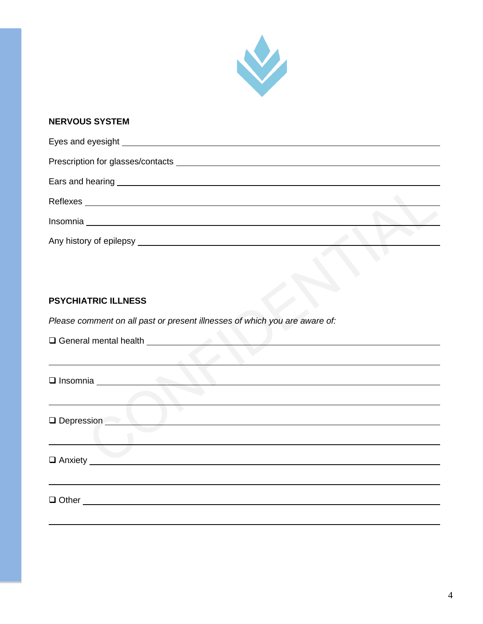

## **NERVOUS SYSTEM**

| Insomnia __________________________ |  |
|-------------------------------------|--|
| Any history of epilepsy             |  |

# **PSYCHIATRIC ILLNESS**

*Please comment on all past or present illnesses of which you are aware of:*

| □ Insomnia <u>University</u> |
|------------------------------|
|                              |
| <b>Depression</b>            |
|                              |
| $\Box$ Anxiety $\Box$        |
|                              |
|                              |
|                              |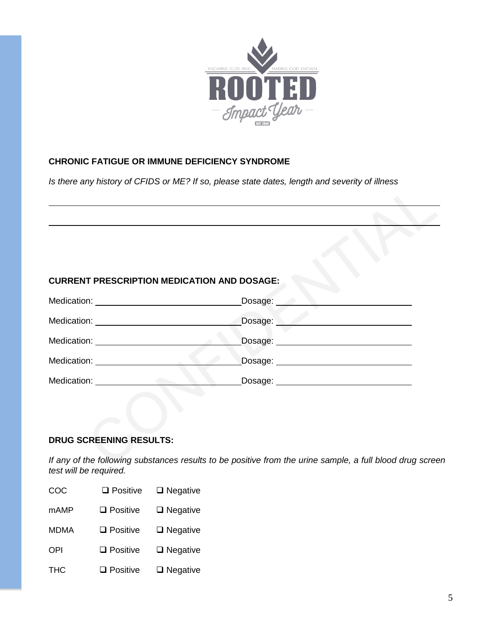

## **CHRONIC FATIGUE OR IMMUNE DEFICIENCY SYNDROME**

*Is there any history of CFIDS or ME? If so, please state dates, length and severity of illness*

## **CURRENT PRESCRIPTION MEDICATION AND DOSAGE:**

| Medication: | Dosage: |
|-------------|---------|
| Medication: | Dosage: |
| Medication: | Dosage: |
| Medication: | Dosage: |
| Medication: | Dosage: |

#### **DRUG SCREENING RESULTS:**

*If any of the following substances results to be positive from the urine sample, a full blood drug screen test will be required.* 

| COC         | $\square$ Positive | $\Box$ Negative |
|-------------|--------------------|-----------------|
| <b>mAMP</b> | $\square$ Positive | $\Box$ Negative |
| <b>MDMA</b> | $\Box$ Positive    | $\Box$ Negative |
| OPI         | $\Box$ Positive    | $\Box$ Negative |
| <b>THC</b>  | $\Box$ Positive    | $\Box$ Negative |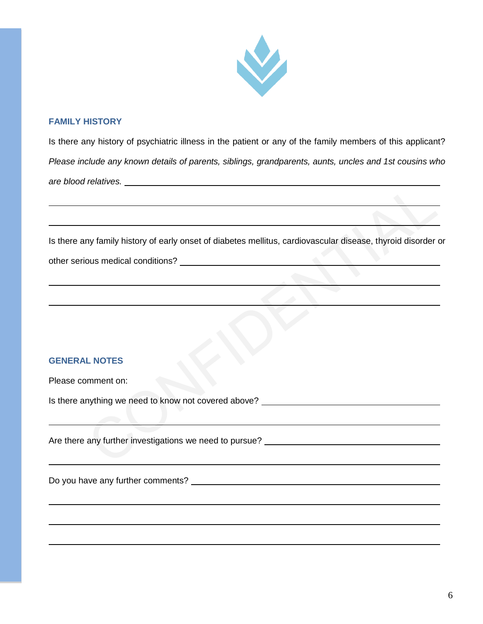

#### **FAMILY HISTORY**

Is there any history of psychiatric illness in the patient or any of the family members of this applicant? *Please include any known details of parents, siblings, grandparents, aunts, uncles and 1st cousins who are blood relatives.* 

Is there any family history of early onset of diabetes mellitus, cardiovascular disease, thyroid disorder or

|  | other serious medical conditions? |
|--|-----------------------------------|
|  |                                   |

#### **GENERAL NOTES**

|  | Please comment on: |  |
|--|--------------------|--|
|--|--------------------|--|

Is there anything we need to know not covered above? \_\_\_\_\_\_\_\_\_\_\_\_\_\_\_\_\_\_\_\_\_\_\_\_\_\_\_

Are there any further investigations we need to pursue?

Do you have any further comments?